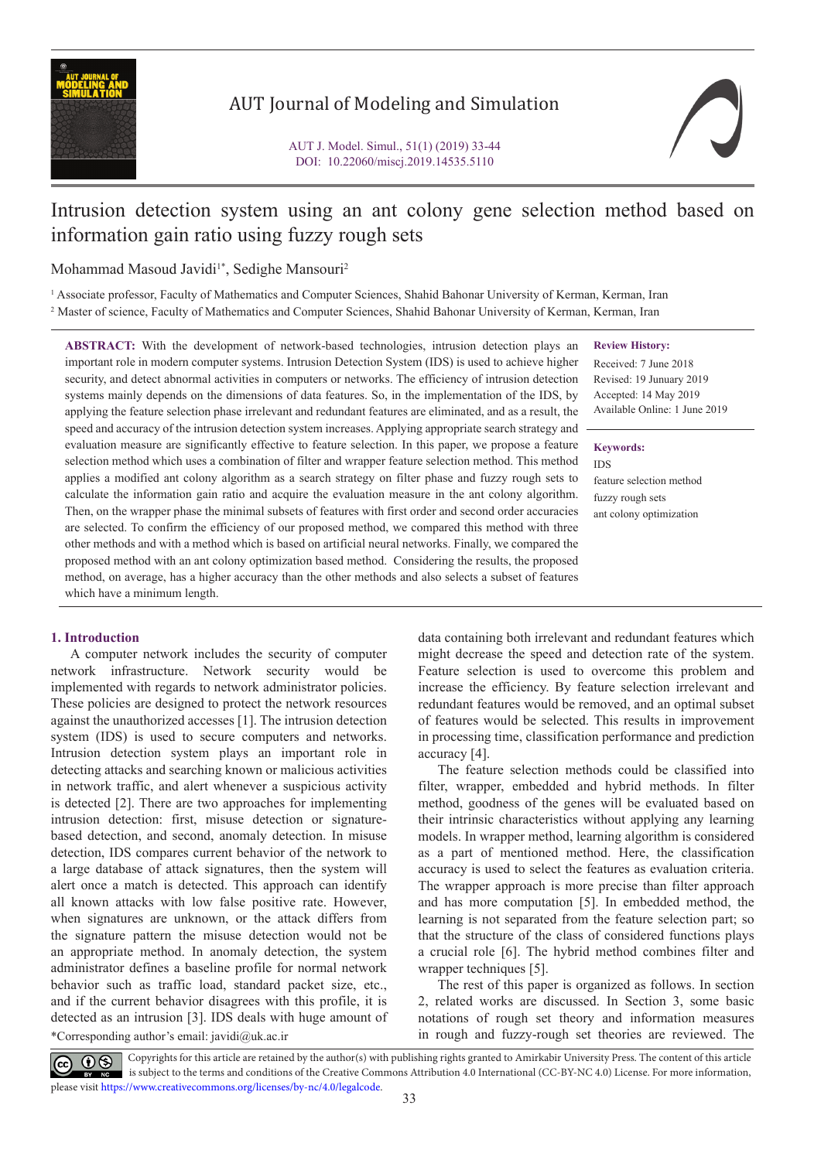

## AUT Journal of Modeling and Simulation

# Intrusion detection system using an ant colony gene selection method based on information gain ratio using fuzzy rough sets

Mohammad Masoud Javidi<sup>1\*</sup>, Sedighe Mansouri<sup>2</sup>

<sup>1</sup> Associate professor, Faculty of Mathematics and Computer Sciences, Shahid Bahonar University of Kerman, Kerman, Iran 2 Master of science, Faculty of Mathematics and Computer Sciences, Shahid Bahonar University of Kerman, Kerman, Iran

**ABSTRACT:** With the development of network-based technologies, intrusion detection plays an important role in modern computer systems. Intrusion Detection System (IDS) is used to achieve higher security, and detect abnormal activities in computers or networks. The efficiency of intrusion detection systems mainly depends on the dimensions of data features. So, in the implementation of the IDS, by applying the feature selection phase irrelevant and redundant features are eliminated, and as a result, the speed and accuracy of the intrusion detection system increases. Applying appropriate search strategy and evaluation measure are significantly effective to feature selection. In this paper, we propose a feature selection method which uses a combination of filter and wrapper feature selection method. This method applies a modified ant colony algorithm as a search strategy on filter phase and fuzzy rough sets to calculate the information gain ratio and acquire the evaluation measure in the ant colony algorithm. Then, on the wrapper phase the minimal subsets of features with first order and second order accuracies are selected. To confirm the efficiency of our proposed method, we compared this method with three other methods and with a method which is based on artificial neural networks. Finally, we compared the proposed method with an ant colony optimization based method. Considering the results, the proposed method, on average, has a higher accuracy than the other methods and also selects a subset of features which have a minimum length.

#### **1. Introduction**

A computer network includes the security of computer network infrastructure. Network security would be implemented with regards to network administrator policies. These policies are designed to protect the network resources against the unauthorized accesses [1]. The intrusion detection system (IDS) is used to secure computers and networks. Intrusion detection system plays an important role in detecting attacks and searching known or malicious activities in network traffic, and alert whenever a suspicious activity is detected [2]. There are two approaches for implementing intrusion detection: first, misuse detection or signaturebased detection, and second, anomaly detection. In misuse detection, IDS compares current behavior of the network to a large database of attack signatures, then the system will alert once a match is detected. This approach can identify all known attacks with low false positive rate. However, when signatures are unknown, or the attack differs from the signature pattern the misuse detection would not be an appropriate method. In anomaly detection, the system administrator defines a baseline profile for normal network behavior such as traffic load, standard packet size, etc., and if the current behavior disagrees with this profile, it is detected as an intrusion [3]. IDS deals with huge amount of \*Corresponding author's email: in rough and fuzzy-rough set theories are reviewed. The javidi@uk.ac.ir

**Review History:**

Received: 7 June 2018 Revised: 19 Junuary 2019 Accepted: 14 May 2019 Available Online: 1 June 2019

**Keywords:**

IDS

feature selection method fuzzy rough sets ant colony optimization

data containing both irrelevant and redundant features which might decrease the speed and detection rate of the system. Feature selection is used to overcome this problem and increase the efficiency. By feature selection irrelevant and redundant features would be removed, and an optimal subset of features would be selected. This results in improvement in processing time, classification performance and prediction accuracy [4].

The feature selection methods could be classified into filter, wrapper, embedded and hybrid methods. In filter method, goodness of the genes will be evaluated based on their intrinsic characteristics without applying any learning models. In wrapper method, learning algorithm is considered as a part of mentioned method. Here, the classification accuracy is used to select the features as evaluation criteria. The wrapper approach is more precise than filter approach and has more computation [5]. In embedded method, the learning is not separated from the feature selection part; so that the structure of the class of considered functions plays a crucial role [6]. The hybrid method combines filter and wrapper techniques [5].

The rest of this paper is organized as follows. In section 2, related works are discussed. In Section 3, some basic notations of rough set theory and information measures

 Copyrights for this article are retained by the author(s) with publishing rights granted to Amirkabir University Press. The content of this article is subject to the terms and conditions of the Creative Commons Attribution 4.0 International (CC-BY-NC 4.0) License. For more information, please visit https://www.creativecommons.org/licenses/by-nc/4.0/legalcode.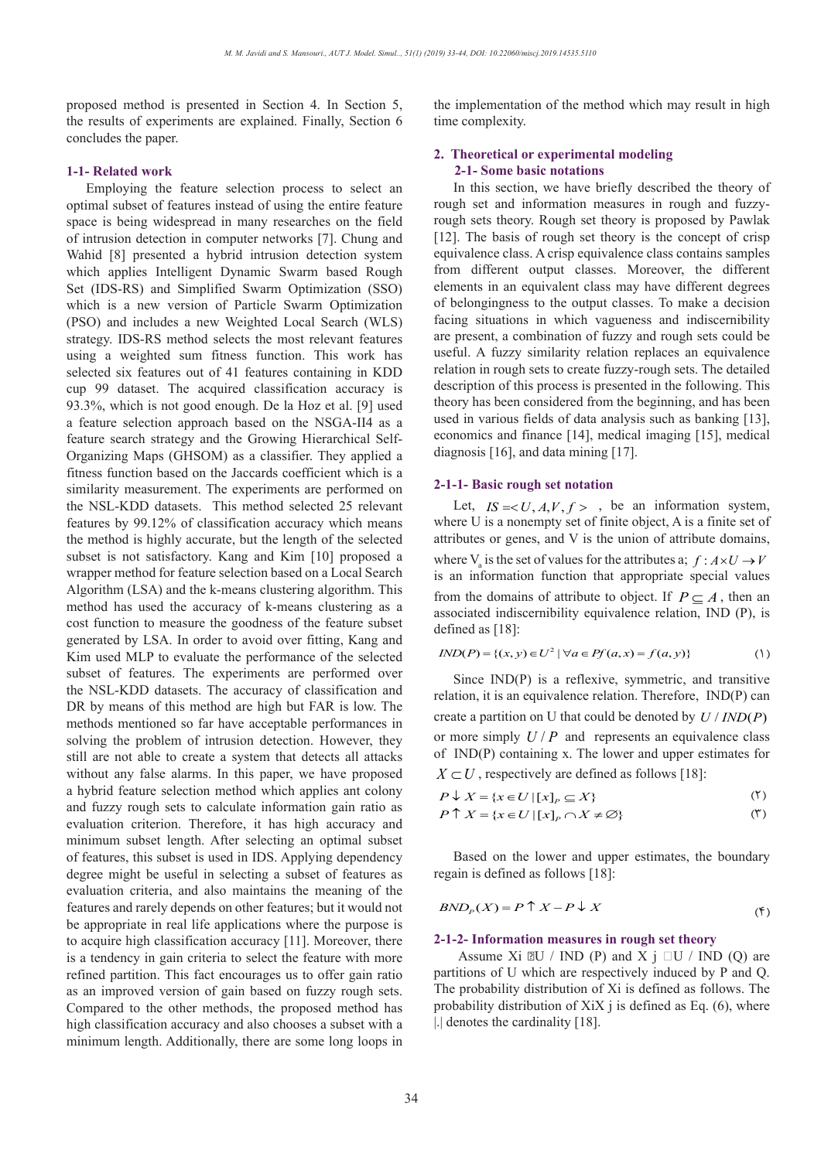proposed method is presented in Section 4. In Section 5, the results of experiments are explained. Finally, Section 6 concludes the paper.

#### **1-1- Related work**

Employing the feature selection process to select an optimal subset of features instead of using the entire feature space is being widespread in many researches on the field of intrusion detection in computer networks [7]. Chung and Wahid [8] presented a hybrid intrusion detection system which applies Intelligent Dynamic Swarm based Rough Set (IDS-RS) and Simplified Swarm Optimization (SSO) which is a new version of Particle Swarm Optimization (PSO) and includes a new Weighted Local Search (WLS) strategy. IDS-RS method selects the most relevant features using a weighted sum fitness function. This work has selected six features out of 41 features containing in KDD cup 99 dataset. The acquired classification accuracy is 93.3%, which is not good enough. De la Hoz et al. [9] used a feature selection approach based on the NSGA-II4 as a feature search strategy and the Growing Hierarchical Self-Organizing Maps (GHSOM) as a classifier. They applied a fitness function based on the Jaccards coefficient which is a similarity measurement. The experiments are performed on the NSL-KDD datasets. This method selected 25 relevant features by 99.12% of classification accuracy which means the method is highly accurate, but the length of the selected subset is not satisfactory. Kang and Kim [10] proposed a wrapper method for feature selection based on a Local Search Algorithm (LSA) and the k-means clustering algorithm. This method has used the accuracy of k-means clustering as a cost function to measure the goodness of the feature subset generated by LSA. In order to avoid over fitting, Kang and Kim used MLP to evaluate the performance of the selected subset of features. The experiments are performed over the NSL-KDD datasets. The accuracy of classification and DR by means of this method are high but FAR is low. The methods mentioned so far have acceptable performances in solving the problem of intrusion detection. However, they still are not able to create a system that detects all attacks without any false alarms. In this paper, we have proposed a hybrid feature selection method which applies ant colony and fuzzy rough sets to calculate information gain ratio as evaluation criterion. Therefore, it has high accuracy and minimum subset length. After selecting an optimal subset of features, this subset is used in IDS. Applying dependency degree might be useful in selecting a subset of features as evaluation criteria, and also maintains the meaning of the features and rarely depends on other features; but it would not be appropriate in real life applications where the purpose is to acquire high classification accuracy [11]. Moreover, there is a tendency in gain criteria to select the feature with more refined partition. This fact encourages us to offer gain ratio as an improved version of gain based on fuzzy rough sets. Compared to the other methods, the proposed method has high classification accuracy and also chooses a subset with a minimum length. Additionally, there are some long loops in the implementation of the method which may result in high time complexity.

#### **2. Theoretical or experimental modeling 2-1- Some basic notations**

In this section, we have briefly described the theory of rough set and information measures in rough and fuzzyrough sets theory. Rough set theory is proposed by Pawlak [12]. The basis of rough set theory is the concept of crisp equivalence class. A crisp equivalence class contains samples from different output classes. Moreover, the different elements in an equivalent class may have different degrees of belongingness to the output classes. To make a decision facing situations in which vagueness and indiscernibility are present, a combination of fuzzy and rough sets could be useful. A fuzzy similarity relation replaces an equivalence relation in rough sets to create fuzzy-rough sets. The detailed description of this process is presented in the following. This theory has been considered from the beginning, and has been used in various fields of data analysis such as banking [13], economics and finance [14], medical imaging [15], medical diagnosis [16], and data mining [17].

#### **2-1-1- Basic rough set notation**

Let,  $IS = < U, A, V, f >$ , be an information system, where U is a nonempty set of finite object, A is a finite set of attributes or genes, and V is the union of attribute domains, where  $V_a$  is the set of values for the attributes a;  $f : A \times U \to V$ is an information function that appropriate special values from the domains of attribute to object. If  $P \subset A$ , then an associated indiscernibility equivalence relation, IND (P), is defined as [18]:

$$
IND(P) = \{(x, y) \in U^2 \mid \forall a \in Pf(a, x) = f(a, y)\}
$$
 (1)

Since IND(P) is a reflexive, symmetric, and transitive relation, it is an equivalence relation. Therefore, IND(P) can create a partition on U that could be denoted by  $U / IND(P)$ or more simply  $U/P$  and represents an equivalence class of IND(P) containing x. The lower and upper estimates for  $IND(P)$  containing x. The lower and upper estimates for  $X \subset U$ , respectively are defined as follows [18]: f **IND**(P) containing x. **T** 

$$
P \downarrow X = \{ x \in U \mid [x]_P \subseteq X \}
$$
 (7)

$$
P \downarrow X = \{x \in U \mid [x]_P \subseteq X\}
$$
  
\n
$$
P \uparrow X = \{x \in U \mid [x]_P \cap X \neq \emptyset\}
$$
 (1)

Based on the lower and upper estimates, the boundary properties is defined as follows [19]. regain is defined as follows [18]:  $\frac{1}{2}$ Based on the lower and uppo

$$
BND_{P}(X) = P \uparrow X - P \downarrow X
$$
\n<sup>( $\uparrow$ )</sup>

# $BND_P(X) = P + X - P + X$ <br>2-1-2- Information measures in rough set theory

Assume Xi  $\mathbb{Z}U$  / IND (P) and X  $j \Box U$  / IND (Q) are aartitions of U which are respectively induced by P and Q. Assume  $\overline{AB}$   $\overline{BC}$  /  $\overline{IND}$  (**r**) and  $\overline{A}$   $\overline{J}$   $\overline{CD}$  /  $\overline{IND}$  (**c**) are partitions of U which are respectively induced by P and Q. The probability distribution of Xi is defined as follows. The The probability distribution of X<sub>1</sub> is defined as follows. The probability distribution of X<sub>i</sub>X j is defined as Eq. (6), where  $\frac{1}{2}$  denotes the cardinality [18]  $\frac{1}{2}$  *n*  $\frac{1}{2}$  *n*  $\frac{1}{2}$  *n*  $\frac{1}{2}$  *n*  $\frac{1}{2}$  *n*  $\frac{1}{2}$  *n*  $\frac{1}{2}$  *n*  $\frac{1}{2}$  *n*  $\frac{1}{2}$  *n*  $\frac{1}{2}$  *n*  $\frac{1}{2}$  *n*  $\frac{1}{2}$  *n*  $\frac{1}{2}$  *n*  $\frac{1}{2}$  *n*  $\frac{1}{2}$  *n*  $\frac{1}{2}$  *I* Assume Xi  $\mathbb{E}U / \text{IND}$  (*I*) tritions of U which are res || || ( ) ( )log ( ) log || || the probability distribution of Xi is defined as following The probability distribution of Xi is defined as fo *U U X X U* denotes the cardinality [18]. Ine probability distribu

*U U*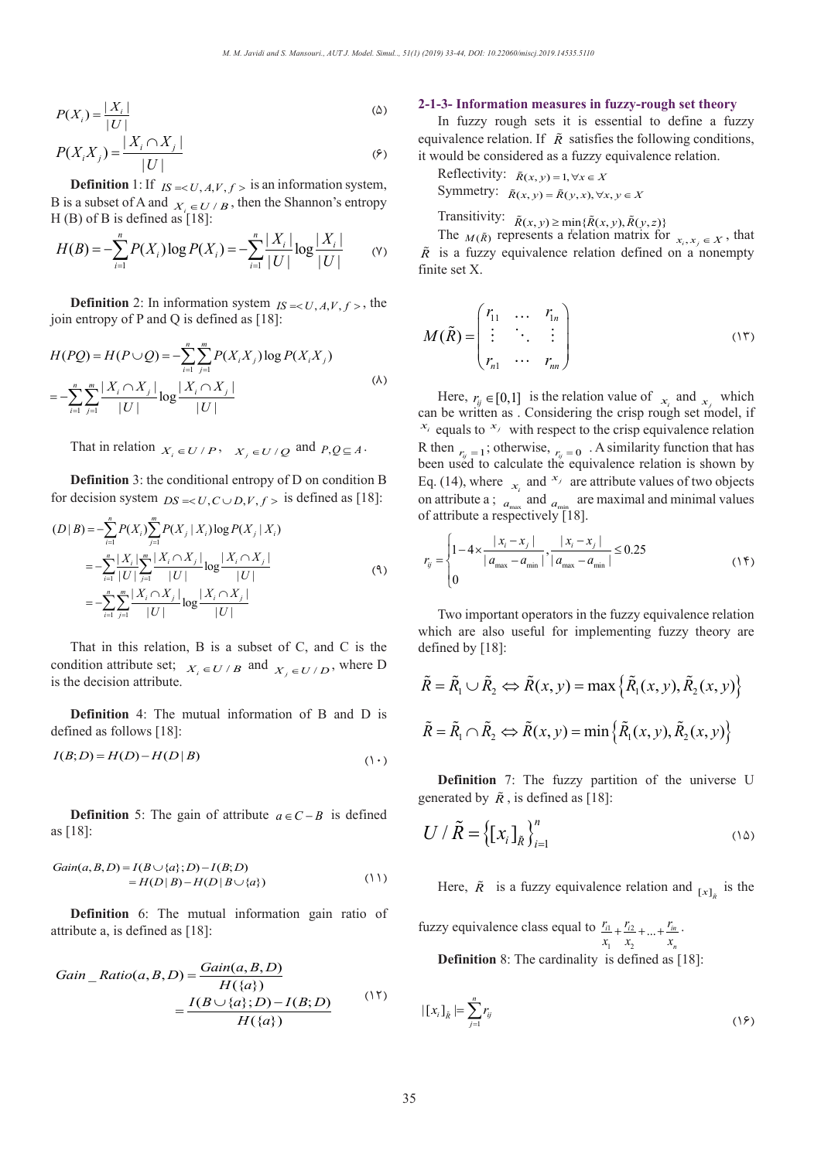$$
P(X_i) = \frac{|X_i|}{|U|}
$$
\n
$$
P(X_i X_j) = \frac{|X_i \cap X_j|}{|U|}
$$
\n
$$
(6)
$$

$$
P(X_i X_j) = \frac{|X_i \cap X_j|}{|U|}
$$
  
Definition 1: If  $_{IS} = \langle U, A, V, f \rangle$  is an information system,  
D is a subset of A and

B is a subset of A and  $X_i \in U/B$ , then the Shannon's entropy  $H (B)$  of B is defined as [18]:<br> *n B* is a subset of A and  $X_i \in U/B$ , then the shannon s<br> *H*(*B*) of *B* is defined as [18]:<br> *H*(*R*) –  $-\sum_{i=1}^{n} P(X) \log P(X)$  –  $-\sum_{i=1}^{n} \frac{|X_i|}{N} \log \frac{|X_i|}{N}$  $\mathcal{P}$   $\mathcal{P}$   $\mathcal{P}$   $\mathcal{P}$   $\mathcal{P}$   $\mathcal{P}$   $\mathcal{P}$   $\mathcal{P}$   $\mathcal{P}$   $\mathcal{P}$   $\mathcal{P}$   $\mathcal{P}$   $\mathcal{P}$   $\mathcal{P}$   $\mathcal{P}$   $\mathcal{P}$   $\mathcal{P}$   $\mathcal{P}$   $\mathcal{P}$   $\mathcal{P}$   $\mathcal{P}$   $\mathcal{P}$   $\mathcal{P}$   $\mathcal{P}$   $\mathcal{$ 

$$
H(B) = -\sum_{i=1}^{n} P(X_i) \log P(X_i) = -\sum_{i=1}^{n} \frac{|X_i|}{|U|} \log \frac{|X_i|}{|U|}
$$
 (Y)

**Definition** 2: In information system  $IS = < U, A, V, f >$ , the join entropy of P and Q is defined as  $[18]$ : *ij ij*

$$
H(PQ) = H(P \cup Q) = -\sum_{i=1}^{n} \sum_{j=1}^{m} P(X_i X_j) \log P(X_i X_j)
$$
  
= 
$$
-\sum_{i=1}^{n} \sum_{j=1}^{m} \frac{|X_i \cap X_j|}{|U|} \log \frac{|X_i \cap X_j|}{|U|}
$$
 (A)

That in relation  $X_i \in U/P$ ,  $X_j \in U/Q$  and  $P,Q \subseteq A$ . That in relation  $X_i \in U/P$ ,  $X_j \in U/Q$  and *P* That in relation  $X_i \in U/P$ ,  $X_j \in U/Q$  and  $P$ , That in relation  $V = U/R$ ,  $V = W/2$  and That in relation  $X_i \in U/P$ ,  $X_j \in U/Q$  and  $P$ ,

**Definition** 3: the conditional entropy of D on condition B For decision system  $DS \ll U$ ,  $C \cup D$ ,  $V$ ,  $f > 0$  is defined as [18]: For decision system  $DS = \langle U, C \cup D, V, f \rangle$  is defined<br>  $(D \mid P) = \sum_{r=1}^{n} p(r) \sum_{r=1}^{m} p(r + r) \log p(r + r)$ **Definition** 3: the conditional entropy of D on<br>for decision system  $DS = < U, C \cup D, V, f >$  is defined *i***<sub><b>***I***<sup>j</sup>** *i*<sub>*I*</sub> *i*<sub>*S*</sub>  $\rightarrow$  *i*<sub>*I*</sub> *I*<sub>*C*</sub>  $\rightarrow$  *I*<sub>*I*</sub> *I*<sub>*I*</sub> *I*<sub>*I*</sub> *i*<sub>*N*</sub> *i*<sub>*N*</sub> *i*<sub>*N*</sub> *i i s i def*</sub> **on** 3: the conditional entropy of D on system  $DS = < U, C \cup D, V, f >$  is defined decision system  $DS = < U, C \cup D, V, f >$  is defined for decision system  $DS = < U, C \cup D, V, f >$  is defined sion system  $DS = < U$ 

( | ) ( ) ( | )log ( | ) *D B PX PX X PX X*

$$
(D|B) = -\sum_{i=1}^{n} P(X_i) \sum_{j=1}^{m} P(X_j | X_i) \log P(X_j | X_i)
$$
  
= 
$$
-\sum_{i=1}^{n} \frac{|X_i|}{|U|} \sum_{j=1}^{m} \frac{|X_i \cap X_j|}{|U|} \log \frac{|X_i \cap X_j|}{|U|}
$$
  
= 
$$
-\sum_{i=1}^{n} \sum_{j=1}^{m} \frac{|X_i \cap X_j|}{|U|} \log \frac{|X_i \cap X_j|}{|U|}
$$
 (9)

That in this relation, B is a subset of C, and C is the That in this relation, B is a subset of C, and C is the condition attribute set;  $X_i \in U/B$  and  $X_j \in U/D$ , where D is the decision attribute. this relation, **B** is a subset of  $\frac{X}{X}$ 

**Definition** 4: The mutual information of B and D is defined as follows [18]:<br> $L(P_1, P) = L(P_2) - L(P_3)$ 

$$
I(B;D) = H(D) - H(D | B)
$$
\n<sup>(\ )</sup>

**Definition** 5: The gain of attribute  $a \in C - B$  is defined as [18]:

$$
Gain(a, B, D) = I(B \cup \{a\}; D) - I(B; D)
$$
  
=  $H(D | B) - H(D | B \cup \{a\})$  (11)

**Definition** 6: The mutual information gain ratio of attribute a, is defined as [18]:

Gain\_Ratio(a, B, D) = 
$$
\frac{Gain(a, B, D)}{H(\{a\})}
$$

$$
= \frac{I(B \cup \{a\}; D) - I(B; D)}{H(\{a\})}
$$
(17)

#### **2-1-3- Information measures in fuzzy-rough set theory** (3)  $\mathbf{r}$

In fuzzy rough sets it is essential to define a fuzzy equivalence relation. If  $\tilde{R}$  satisfies the following conditions, it would be considered as a fuzzy equivalence relation.<br>  $Rof$ au:<br>° au.<br>c. –

Reflectivity: 
$$
\tilde{R}(x, y) = 1, \forall x \in X
$$
  
\nSymmetry:  $\tilde{R}(x, y) = \tilde{R}(y, x), \forall x, y \in X$   
\nTransitivity:  $\tilde{R}(x, y) > min(\tilde{R}(y, y)) \tilde{R}(y, y)$ 

Transitivity:  $\tilde{R}(x, y) \ge \min{\{\tilde{R}(x, y), \tilde{R}(y, z)\}}$  $\ddot{x}$  ivity:  $\ddot{p}$ <sub>6</sub>  $(x, y) \ge \min\{x, y\}$ *I* ≤ IIIIII<sub>I</sub>II(*x*, *y*), *A*(*y*, 2)*}*<br>s a relation matrix for

The  $M(\tilde{R})$  represents a relation matrix for  $x_i, x_j \in X$ , that  $\tilde{R}$  is a fuzzy equivalence relation defined on a nonempty finite set X.  $\frac{1}{\sqrt{2}}$ The  $_{M(\tilde{R})}$  represents a relation matrix for r<br>Tha  $f, y \ge \min\{K(x, y), K\}$ <br>ents a relation mat

$$
M(\tilde{R}) = \begin{pmatrix} r_{11} & \cdots & r_{1n} \\ \vdots & \ddots & \vdots \\ r_{n1} & \cdots & r_{nn} \end{pmatrix}
$$
 (17)

Here,  $r_{ij} \in [0,1]$  is the relation value of  $x_i$  and  $x_j$  which can be written as . Considering the crisp rough set model, if  $x_i$  equals to  $x_j$  with respect to the crisp equivalence relation R then  $r_y = 1$ ; otherwise,  $r_y = 0$ . A similarity function that has<br>been used to calculate the equivalence relation is shown by<br>Eq. (14) where and  $\frac{x_j}{x_j}$  are attribute values of two objects R then  $r_y = 1$ ; otherwise,  $r_y = 0$ . A similarity function that has been used to calculate the equivalence relation is shown by Eq. (14), where  $x_i$  and  $x_j$  are attribute values of two objects on attribute a  $\cdot$  and are maximal and minimal values on attribute a ;  $a_{\text{max}}$  and  $a_{\text{min}}$  are maximal and minimal values  $\lim_{x_i}$  and *a*<sub>min</sub> are maximal and *n* of attribute a respectively [18]. be written as . Considering the crisp roughly equals to  $x_j$  with respect to the crisp equivalent of the crisp of the crisp of the crisp of the crisp of the crisp of the crisp of the crisp of the crisp of the crisp of the  $\mathbf{u}$ of attribute a respectively

$$
r_{ij} = \begin{cases} 1 - 4 \times \frac{|x_i - x_j|}{|a_{\text{max}} - a_{\text{min}}|}, \frac{|x_i - x_j|}{|a_{\text{max}} - a_{\text{min}}|} \le 0.25\\ 0 \end{cases}
$$
(15)

(0)<br>Two important operators in the fuzzy equivalence relation<br>thich are also useful for implementing fuzzy theory are which are also useful for implementing fuzzy theory are defined by [18]: defined by [18]: *n nn* 1 arc also useful<br>1 by [18]:

$$
\tilde{R} = \tilde{R}_1 \cup \tilde{R}_2 \Longleftrightarrow \tilde{R}(x, y) = \max \left\{ \tilde{R}_1(x, y), \tilde{R}_2(x, y) \right\}
$$

$$
\tilde{R} = \tilde{R}_1 \cap \tilde{R}_2 \Longleftrightarrow \tilde{R}(x, y) = \min \left\{ \tilde{R}_1(x, y), \tilde{R}_2(x, y) \right\}
$$

**Definition** 7: The fuzzy partition of the universe U **Definition** 7: The fuzzy partition of generated by  $\tilde{R}$ , is defined as [18]: **Definition** 7: The fuzzy

$$
U / \tilde{R} = \left\{ \left[ x_i \right]_{\tilde{R}} \right\}_{i=1}^n \tag{1\text{a}}
$$

Here,  $\tilde{R}$  is a fuzzy equivalence relation and  $[x]$ <sub> $\tilde{R}$ </sub> is the Here,  $\tilde{R}$  is a fuzzy equivalence rela Here,  $\tilde{R}$  is a *Gain a B D I B a D I B D* ( , , ) ( { }; ) ( ; )

fuzzy equivalence class equal to  $\frac{r_{11}}{1} + \frac{r_{12}}{1}$  $\gamma_1$   $\gamma_2$  $\frac{i1}{i} + \frac{i2}{i} + \ldots + \frac{i}{n}$ *n*  $\frac{r_{i1}}{x_1} + \frac{r_{i2}}{x_2} + \ldots + \frac{r_{in}}{x_n}$ **Definition** 8: The cardinality is defined as

**Definition** 8: The cardinality is defined as [18]: (12)

$$
|\left[x_i\right]_{\tilde{R}}| = \sum_{j=1}^n r_{ij} \tag{19}
$$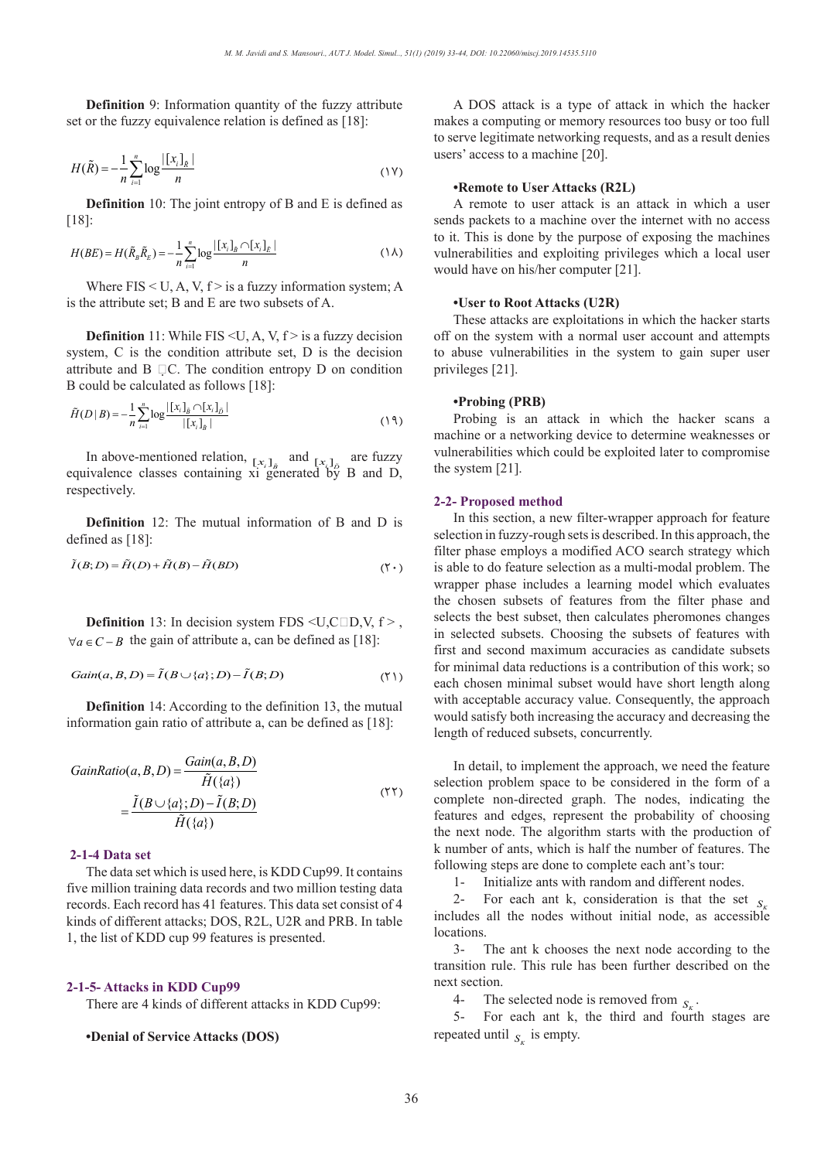**Definition** 9: Information quantity of the fuzzy attribute set or the fuzzy equivalence relation is defined as [18]: **Definition** 9: Information quantiet or the fuzzy equivalence relation

$$
H(\tilde{R}) = -\frac{1}{n} \sum_{i=1}^{n} \log \frac{|[x_i]_{\tilde{R}}|}{n}
$$
 (1V)

**Definition** 10: The joint entropy of B and E is defined as [18]: [18]: *ij r aa aa*  $\{$ [  $\}$ ]  $\{$  $\begin{bmatrix} 1 & n \\ 2 & 3 \end{bmatrix} \begin{bmatrix} 1 & 1 \\ 2 & 3 \end{bmatrix} \begin{bmatrix} 1 & 1 \\ 2 & 3 \end{bmatrix}$ 

[18]:  
\n
$$
H(BE) = H(\tilde{R}_{B}\tilde{R}_{E}) = -\frac{1}{n} \sum_{i=1}^{n} \log \frac{|[x_{i}]_{\tilde{B}} \cap [x_{i}]_{\tilde{E}}|}{n}
$$
\n(1A)

Where FIS < U, A, V,  $f >$  is a fuzzy information system; A where  $FIS < U, A, V, I > IS$  a fuzzy information<br>is the attribute set; B and E are two subsets of A.

**Definition** 11: While FIS < U, A, V,  $f$  > is a fuzzy decision system, C is the condition attribute set, D is the decision **attribute and B**  $\Box$ **C.** The condition entropy D on condition *n B* could be coloured as follows [18]. *Gain butcand B*  $\neq$ C. The condition can be calculated as follows [18]:

B could be calculated as follows [18]:  
\n
$$
\tilde{H}(D|B) = -\frac{1}{n} \sum_{i=1}^{n} \log \frac{|[x_i]_{\tilde{B}} \cap [x_i]_{\tilde{D}}|}{|[x_i]_{\tilde{B}}|}
$$
\n(19)

In above-mentioned relation,  $[x_i]_B$  and  $[x_i]_D$  are fuzzy equivalence classes containing xi generated by B and D, respectively. mentioned relation,  $[x_i]_{\bar{B}}$  and In above-mentioned *H R* above-mentione l In above-mentioned relation,  $[x_i]_B$  and *i i gener i gener*  $G_{\rm F}$  *contrast*.

**Definition** 12: The mutual information of B and D is defined as [18]: *Definition* 12: The mutual information **Definition** 12: The mutual inform

$$
\tilde{I}(B;D) = \tilde{H}(D) + \tilde{H}(B) - \tilde{H}(BD)
$$
\n<sup>(\Upsilon \cdot)</sup>

**Definition** 13: In decision system FDS  $\leq U, C \square D, V, f >$ , **Definition** 15: In decision system  $PDS \sim O, C \sqcup D, v$ ,  $\forall a \in C - B$  the gain of attribute a, can be defined as [18]:

$$
Gain(a, B, D) = \tilde{I}(B \cup \{a\}; D) - \tilde{I}(B; D)
$$
\n<sup>(\Upsilon)</sup>

**Definition** 14: According to the definition 13, the mutual information gain ratio of attribute a, can be defined as [18]:

$$
GainRatio(a, B, D) = \frac{Gain(a, B, D)}{\tilde{H}(\{a\})}
$$

$$
= \frac{\tilde{I}(B \cup \{a\}; D) - \tilde{I}(B; D)}{\tilde{H}(\{a\})}
$$
(57)

#### **2-1-4 Data set**  $\overline{\mathbf{a}}$

The data set which is used here, is KDD Cup99. It contains five million training data records and two million testing data records. Each record has 41 features. This data set consist of 4 kinds of different attacks: DOS, R2L, U2R and PRB. In table kinds of different attacks; DOS, R2L, U2R and PRB. In table 1, the list of KDD cup 99 features is presented. *k ij ix x x S p t* 1, the list of  $\overline{\phantom{a}}$  $\frac{1}{1}$ , 1

# **2-1-5- Attacks in KDD Cup99** (1 ). *new old otherwise*

There are 4 kinds of different attacks in KDD Cup99:

### **•Denial of Service Attacks (DOS)**

A DOS attack is a type of attack in which the hacker makes a computing or memory resources too busy or too full to serve legitimate networking requests, and as a result denies users' access to a machine [20].

### **•Remote to User Attacks (R2L)**

A remote to user attack is an attack in which a user sends packets to a machine over the internet with no access to it. This is done by the purpose of exposing the machines vulnerabilities and exploiting privileges which a local user would have on his/her computer [21].

#### **•User to Root Attacks (U2R)**  $\overline{\mathbf{c}}$

These attacks are exploitations in which the hacker starts off on the system with a normal user account and attempts to abuse vulnerabilities in the system to gain super user privileges [21]. (21)  $\frac{1}{2}$  tam with

#### **•Probing (PRB)**  $\frac{1}{2}$

Probing is an attack in which the hacker scans a machine or a networking device to determine weaknesses or vulnerabilities which could be exploited later to compromise the system [21].  $\frac{1}{1}$ 

### 2-2- Proposed method

In this section, a new filter-wrapper approach for feature selection in fuzzy-rough sets is described. In this approach, the filter phase employs a modified ACO search strategy which is able to do feature selection as a multi-modal problem. The wrapper phase includes a learning model which evaluates the chosen subsets of features from the filter phase and selects the best subset, then calculates pheromones changes in selected subsets. Choosing the subsets of features with first and second maximum accuracies as candidate subsets for minimal data reductions is a contribution of this work; so (12) The minimal subset would have short length along with acceptable accuracy value. Consequently, the approach would satisfy both increasing the accuracy and decreasing the length of reduced subsets, concurrently.

> In detail, to implement the approach, we need the feature selection problem space to be considered in the form of a complete non-directed graph. The nodes, indicating the features and edges, represent the probability of choosing the next node. The algorithm starts with the production of k number of ants, which is half the number of features. The following steps are done to complete each ant's tour:

1- Initialize ants with random and different nodes.

2- For each ant k, consideration is that the set  $S<sub>S</sub>$  $includes$  all the nodes without initial node, as accessible locations<br> $\frac{3}{2}$ 

The ant k chooses the next node according to the transition rule. This rule has been further described on the next section.

4- The selected node is removed from  $S_K$ .

5- For each ant k, the third and fourth stages are repeated until  $S_K$  is empty.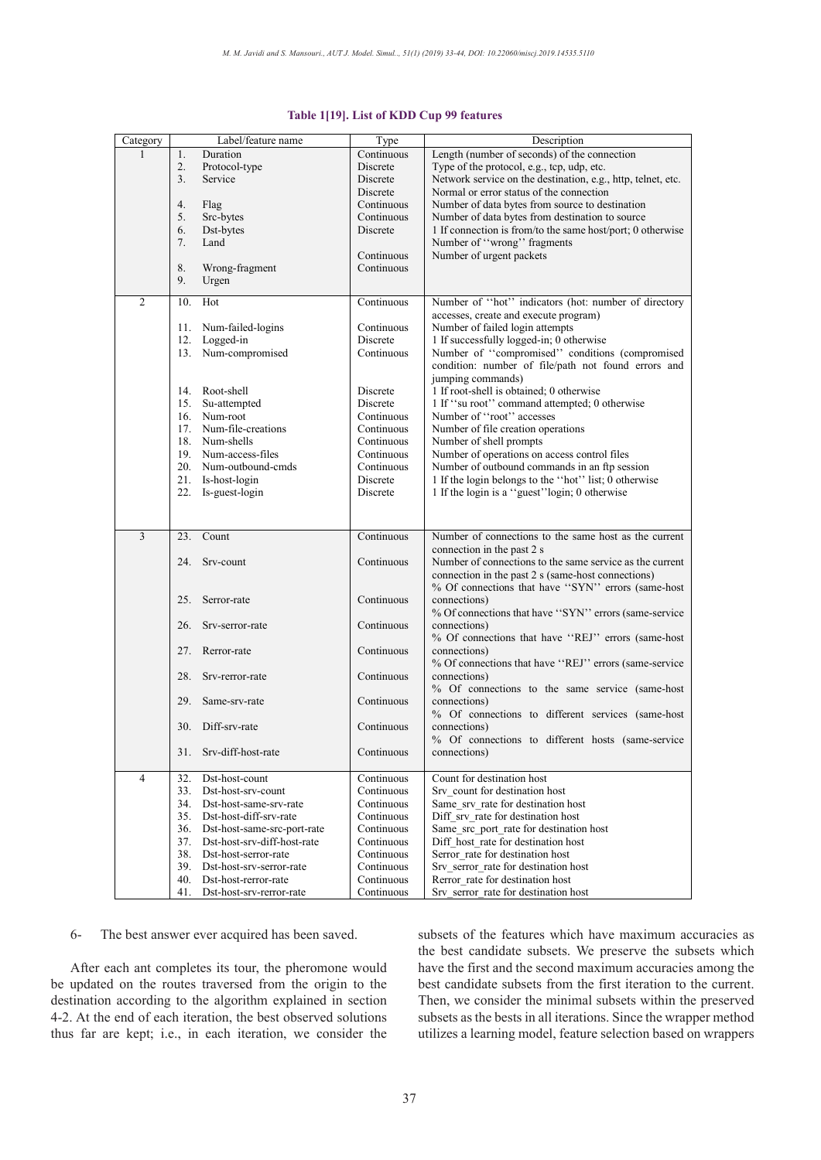| Category       | Label/feature name                 | Type       | Description                                                           |
|----------------|------------------------------------|------------|-----------------------------------------------------------------------|
|                | Duration<br>1.                     | Continuous | Length (number of seconds) of the connection                          |
|                | 2.<br>Protocol-type                | Discrete   | Type of the protocol, e.g., tcp, udp, etc.                            |
|                | 3.<br>Service                      | Discrete   | Network service on the destination, e.g., http, telnet, etc.          |
|                |                                    | Discrete   | Normal or error status of the connection                              |
|                | 4.<br>Flag                         | Continuous | Number of data bytes from source to destination                       |
|                | 5.<br>Src-bytes                    | Continuous | Number of data bytes from destination to source                       |
|                | 6.<br>Dst-bytes                    | Discrete   | 1 If connection is from/to the same host/port; 0 otherwise            |
|                | 7.<br>Land                         |            | Number of "wrong" fragments                                           |
|                |                                    | Continuous | Number of urgent packets                                              |
|                | 8.<br>Wrong-fragment               | Continuous |                                                                       |
|                | 9.<br>Urgen                        |            |                                                                       |
| $\overline{2}$ | Hot<br>10.                         | Continuous | Number of "hot" indicators (hot: number of directory                  |
|                |                                    |            | accesses, create and execute program)                                 |
|                | Num-failed-logins<br>11.           | Continuous | Number of failed login attempts                                       |
|                | 12. Logged-in                      | Discrete   | 1 If successfully logged-in; 0 otherwise                              |
|                | 13. Num-compromised                | Continuous | Number of "compromised" conditions (compromised                       |
|                |                                    |            | condition: number of file/path not found errors and                   |
|                |                                    |            | jumping commands)                                                     |
|                | 14. Root-shell                     | Discrete   | 1 If root-shell is obtained; 0 otherwise                              |
|                | Su-attempted<br>15.                | Discrete   | 1 If "su root" command attempted; 0 otherwise                         |
|                | 16. Num-root                       | Continuous | Number of "root" accesses                                             |
|                | 17. Num-file-creations             | Continuous | Number of file creation operations                                    |
|                | 18. Num-shells                     | Continuous | Number of shell prompts                                               |
|                | 19. Num-access-files               | Continuous | Number of operations on access control files                          |
|                | 20. Num-outbound-cmds              | Continuous | Number of outbound commands in an ftp session                         |
|                | 21. Is-host-login                  | Discrete   | 1 If the login belongs to the "hot" list; $\overline{0}$ otherwise    |
|                | 22. Is-guest-login                 | Discrete   | 1 If the login is a "guest" login; 0 otherwise                        |
|                |                                    |            |                                                                       |
|                |                                    |            |                                                                       |
| 3              | Count<br>23.                       | Continuous | Number of connections to the same host as the current                 |
|                |                                    |            | connection in the past 2 s                                            |
|                | 24.<br>Srv-count                   | Continuous | Number of connections to the same service as the current              |
|                |                                    |            | connection in the past 2 s (same-host connections)                    |
|                |                                    |            | % Of connections that have "SYN" errors (same-host                    |
|                | 25.<br>Serror-rate                 | Continuous | connections)                                                          |
|                |                                    |            | % Of connections that have "SYN" errors (same-service                 |
|                | 26.<br>Srv-serror-rate             | Continuous | connections)                                                          |
|                |                                    |            | % Of connections that have "REJ" errors (same-host                    |
|                | 27.<br>Rerror-rate                 | Continuous | connections)<br>% Of connections that have "REJ" errors (same-service |
|                | 28.<br>Srv-rerror-rate             | Continuous | connections)                                                          |
|                |                                    |            | % Of connections to the same service (same-host                       |
|                | 29.<br>Same-sry-rate               | Continuous | connections)                                                          |
|                |                                    |            | % Of connections to different services (same-host                     |
|                | 30. Diff-srv-rate                  | Continuous | connections)                                                          |
|                |                                    |            | % Of connections to different hosts (same-service                     |
|                | 31.<br>Srv-diff-host-rate          | Continuous | connections)                                                          |
|                |                                    |            |                                                                       |
| $\overline{4}$ | 32.<br>Dst-host-count              | Continuous | Count for destination host                                            |
|                | 33.<br>Dst-host-srv-count          | Continuous | Srv count for destination host                                        |
|                | 34.<br>Dst-host-same-srv-rate      | Continuous | Same srv rate for destination host                                    |
|                | 35.<br>Dst-host-diff-srv-rate      | Continuous | Diff srv_rate for destination host                                    |
|                | 36.<br>Dst-host-same-src-port-rate | Continuous | Same_src_port_rate for destination host                               |
|                | 37.<br>Dst-host-srv-diff-host-rate | Continuous | Diff host_rate for destination host                                   |
|                | 38.<br>Dst-host-serror-rate        | Continuous | Serror_rate for destination host                                      |
|                | 39.<br>Dst-host-srv-serror-rate    | Continuous | Srv serror rate for destination host                                  |
|                | 40.<br>Dst-host-rerror-rate        | Continuous | Rerror rate for destination host                                      |
|                | 41.<br>Dst-host-srv-rerror-rate    | Continuous | Srv serror rate for destination host                                  |

#### Table 1[19]. List of KDD Cup 99 features. **Table 1[19]. List of KDD Cup 99 features**

6- The best answer ever acquired has been saved.

After each ant completes its tour, the pheromone would be updated on the routes traversed from the origin to the destination according to the algorithm explained in section 4-2. At the end of each iteration, the best observed solutions thus far are kept; i.e., in each iteration, we consider the

subsets of the features which have maximum accuracies as the best candidate subsets. We preserve the subsets which have the first and the second maximum accuracies among the best candidate subsets from the first iteration to the current. Then, we consider the minimal subsets within the preserved subsets as the bests in all iterations. Since the wrapper method utilizes a learning model, feature selection based on wrappers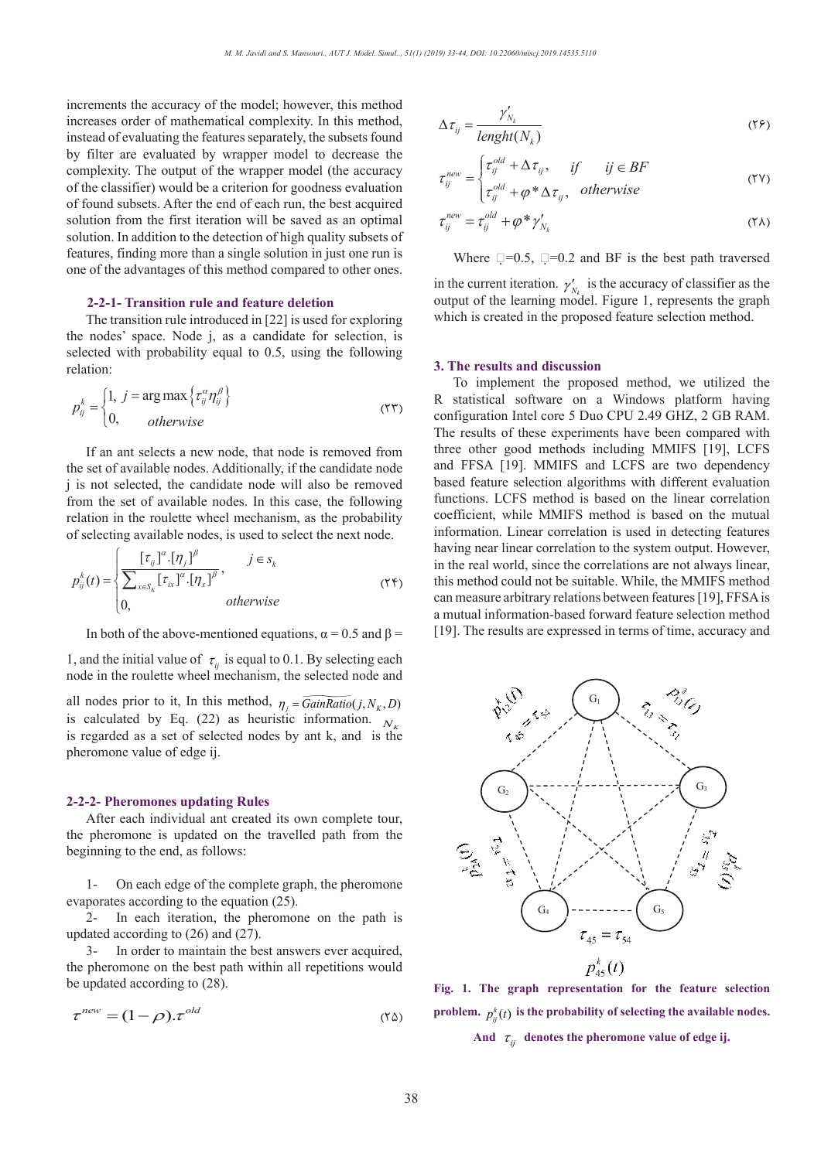increments the accuracy of the model; however, this method increases order of mathematical complexity. In this method, instead of evaluating the features separately, the subsets found by filter are evaluated by wrapper model to decrease the complexity. The output of the wrapper model (the accuracy of the classifier) would be a criterion for goodness evaluation of found subsets. After the end of each run, the best acquired solution from the first iteration will be saved as an optimal solution. In addition to the detection of high quality subsets of features, finding more than a single solution in just one run is one of the advantages of this method compared to other ones.

#### **2-2-1- Transition rule and feature deletion**

The transition rule introduced in [22] is used for exploring the nodes' space. Node  $j$ , as a candidate for selection, is selected with probability equal to 0.5 using the following the nodes' space. Node *j*, as a candidate for selection, is selected with probability equal to 0.5, using the following relation:

$$
p_{ij}^{k} = \begin{cases} 1, & j = \arg \max \{ \tau_{ij}^{\alpha} \eta_{ij}^{\beta} \} \\ 0, & otherwise \end{cases}
$$
 (77)  
If an ant selects a new node, that node is removed from

the set of available nodes. Additionally, if the candidate node *k* is not selected, the candidate node will also be removed from the set of available nodes. In this case, the following relation in the roulette wheel mechanism, as the probability of selecting available nodes, is used to select the next node. *i* is not selected, the candidate nodes<br> *i* is not selected, the candidate node<br> *pom* the set of available nodes. In the *k is iv i x x iii x x iii x x iii x x iii x ii x ii x iii x iii x iii x iii x iii x iii x iii x iii x iii x iii x iii x iii x iii* or available nodes. Additional<br>t selected, the candidate not<br>he set of available nodes. In

$$
p_{ij}^{k}(t) = \begin{cases} \frac{\left[\tau_{ij}\right]^{\alpha} \cdot \left[\eta_{j}\right]^{\beta}}{\sum_{x \in S_{k}} \left[\tau_{ix}\right]^{\alpha} \cdot \left[\eta_{x}\right]^{\beta}}, & j \in S_{k} \\ 0, & otherwise \end{cases}
$$
 (YF)

In both of the above-mentioned equations,  $\alpha = 0.5$  and  $\beta =$ 

1, and the initial value of  $\tau_{ij}$  is equal to 0.1. By selecting each node in the roulette wheel mechanism, the selected node and 1, and the initial value of  $\tau_{ij}$  is e

all nodes prior to it, In this method,  $\eta_j = \widehat{GainRatio}(j, N_K, D)$ is calculated by Eq. (22) as heuristic information.  $N_{\kappa}$ is regarded as a set of selected nodes by ant k, and is the pheromone value of edge ii. pheromone value of edge ij. fone value of

# **2-2-2- Pheromones updating Rules**  $\alpha$  amonos undating Pulas

After each individual ant created its own complete tour, the pheromone is updated on the travelled path from the beginning to the end, as follows: beginning to the end, as follows: *out the sine, we see* 

1- On each edge of the complete graph, the pheromone evaporates according to the equation (25).

2- In each iteration, the pheromone on the path is updated according to (26) and (27). 2- In each iteration, the pheromone on the path is dated according to (26) and (27).<br>3- In order to maintain the best answers ever acquired, 2- In each iteration, the pheromo<br>ated according to (26) and (27).<br>3- In order to maintain the best ans  $k = \frac{1}{2}$ 

the pheromone on the best path within all repetitions would be updated according to (28).  $3 -$ 

$$
\tau^{new} = (1 - \rho) . \tau^{old} \tag{8}
$$

$$
\Delta \tau_{ij} = \frac{\gamma'_{N_k}}{length(N_k)} \tag{79}
$$

$$
\tau_{ij}^{new} = \begin{cases} \tau_{ij}^{old} + \Delta \tau_{ij}, & if \quad ij \in BF \\ \tau_{ij}^{old} + \varphi^* \Delta \tau_{ij}, & otherwise \end{cases}
$$
 (YV)

$$
\tau_{ij}^{new} = \tau_{ij}^{old} + \varphi^* \gamma'_{N_k} \tag{5}
$$

Where  $\Box = 0.5$ ,  $\Box = 0.2$  and BF is the best path traversed

in the current iteration.  $\gamma'_{N_k}$  is the accuracy of classifier as the output of the learning model. Figure 1, represents the graph which is created in the proposed feature selection method.

#### **3. The results and discussion**

To implement the proposed method, we utilized the R statistical software on a Windows platform having configuration Intel core 5 Duo CPU 2.49 GHZ, 2 GB RAM. The results of these experiments have been compared with three other good methods including MMIFS [19], LCFS and FFSA [19]. MMIFS and LCFS are two dependency based feature selection algorithms with different evaluation functions. LCFS method is based on the linear correlation coefficient, while MMIFS method is based on the mutual information. Linear correlation is used in detecting features having near linear correlation to the system output. However, in the real world, since the correlations are not always linear, this method could not be suitable. While, the MMIFS method can measure arbitrary relations between features [19], FFSA is a mutual information-based forward feature selection method a madal mormation based forward readers selection method [19]. The results are expressed in terms of time, accuracy and



( $\Upsilon$  $\Delta$ ) problem.  $p_{ij}^k(t)$  is the probability of selecting the available nodes. And  $\tau_{ij}$  denotes the pheromone value of edge ij. **Fig. 1. The graph representation for the feature selection**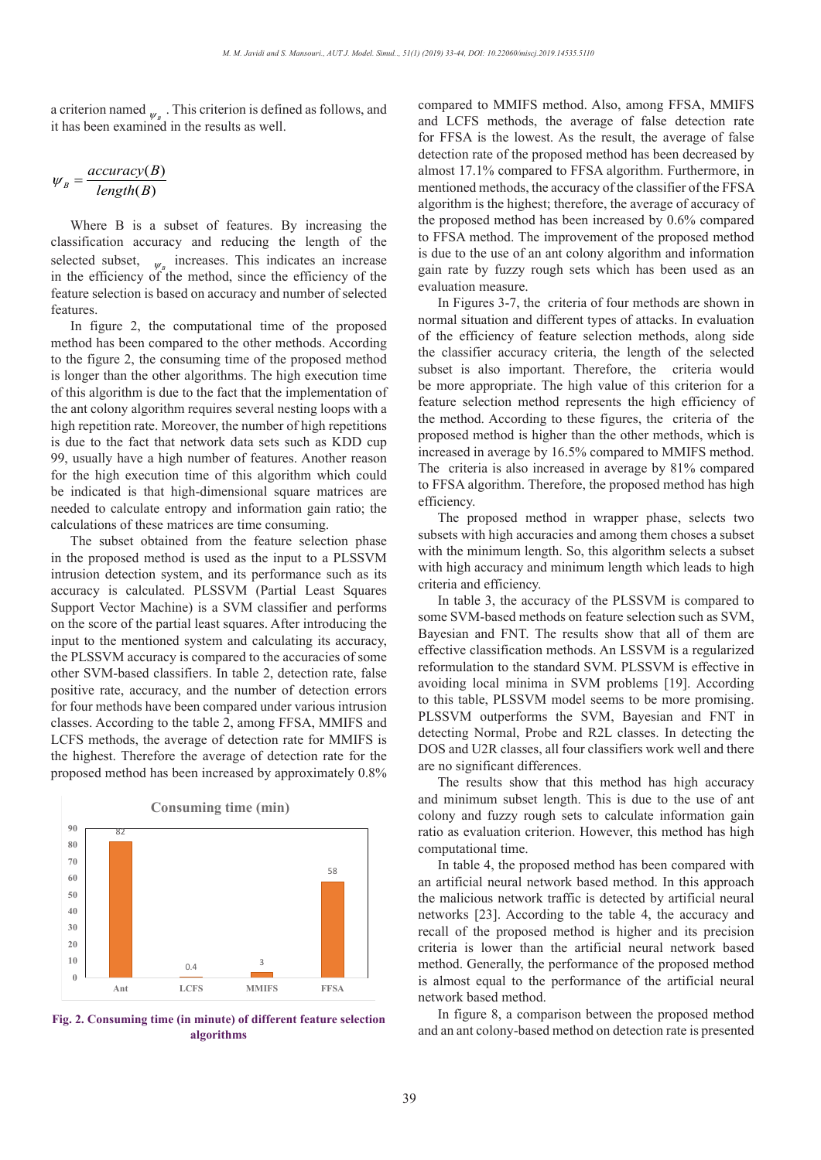a criterion named  $_{\psi_B}$ . This criterion is defined as follows, and it has been examined in the results as well.

$$
\psi_B = \frac{accuracy(B)}{length(B)}
$$

Where B is a subset of features. By increasing the classification accuracy and reducing the length of the selected subset,  $\psi_B$  increases. This indicates an increase in the efficiency of the method, since the efficiency of the feature selection is based on accuracy and number of selected features.

In figure 2, the computational time of the proposed method has been compared to the other methods. According to the figure 2, the consuming time of the proposed method is longer than the other algorithms. The high execution time of this algorithm is due to the fact that the implementation of the ant colony algorithm requires several nesting loops with a high repetition rate. Moreover, the number of high repetitions is due to the fact that network data sets such as KDD cup 99, usually have a high number of features. Another reason for the high execution time of this algorithm which could be indicated is that high-dimensional square matrices are needed to calculate entropy and information gain ratio; the calculations of these matrices are time consuming.

The subset obtained from the feature selection phase in the proposed method is used as the input to a PLSSVM intrusion detection system, and its performance such as its accuracy is calculated. PLSSVM (Partial Least Squares Support Vector Machine) is a SVM classifier and performs on the score of the partial least squares. After introducing the input to the mentioned system and calculating its accuracy, the PLSSVM accuracy is compared to the accuracies of some other SVM-based classifiers. In table 2, detection rate, false positive rate, accuracy, and the number of detection errors for four methods have been compared under various intrusion classes. According to the table 2, among FFSA, MMIFS and  $\overline{R}$ retailed a tector of the taste 2, all the probability of the probability of the probability of the probability of the probability of the probability of the probability of the probability of  $\overline{X}$ the highest. Therefore the average of detection rate for the proposed method has been increased by approximately 0.8%



Fig. 2. Consuming time (in minute) of different feature selection **algorithms**

compared to MMIFS method. Also, among FFSA, MMIFS and LCFS methods, the average of false detection rate for FFSA is the lowest. As the result, the average of false detection rate of the proposed method has been decreased by almost 17.1% compared to FFSA algorithm. Furthermore, in mentioned methods, the accuracy of the classifier of the FFSA algorithm is the highest; therefore, the average of accuracy of the proposed method has been increased by 0.6% compared to FFSA method. The improvement of the proposed method is due to the use of an ant colony algorithm and information gain rate by fuzzy rough sets which has been used as an evaluation measure.

In Figures 3-7, the criteria of four methods are shown in normal situation and different types of attacks. In evaluation of the efficiency of feature selection methods, along side the classifier accuracy criteria, the length of the selected subset is also important. Therefore, the criteria would be more appropriate. The high value of this criterion for a feature selection method represents the high efficiency of the method. According to these figures, the criteria of the proposed method is higher than the other methods, which is increased in average by 16.5% compared to MMIFS method. The criteria is also increased in average by 81% compared to FFSA algorithm. Therefore, the proposed method has high efficiency.

The proposed method in wrapper phase, selects two subsets with high accuracies and among them choses a subset with the minimum length. So, this algorithm selects a subset with high accuracy and minimum length which leads to high criteria and efficiency.

In table 3, the accuracy of the PLSSVM is compared to some SVM-based methods on feature selection such as SVM, Bayesian and FNT. The results show that all of them are effective classification methods. An LSSVM is a regularized reformulation to the standard SVM. PLSSVM is effective in avoiding local minima in SVM problems [19]. According to this table, PLSSVM model seems to be more promising. PLSSVM outperforms the SVM, Bayesian and FNT in detecting Normal, Probe and R2L classes. In detecting the DOS and U2R classes, all four classifiers work well and there are no significant differences.

The results show that this method has high accuracy and minimum subset length. This is due to the use of ant colony and fuzzy rough sets to calculate information gain ratio as evaluation criterion. However, this method has high computational time.

In table 4, the proposed method has been compared with an artificial neural network based method. In this approach the malicious network traffic is detected by artificial neural networks [23]. According to the table 4, the accuracy and recall of the proposed method is higher and its precision criteria is lower than the artificial neural network based method. Generally, the performance of the proposed method is almost equal to the performance of the artificial neural network based method.

In figure 8, a comparison between the proposed method and an ant colony-based method on detection rate is presented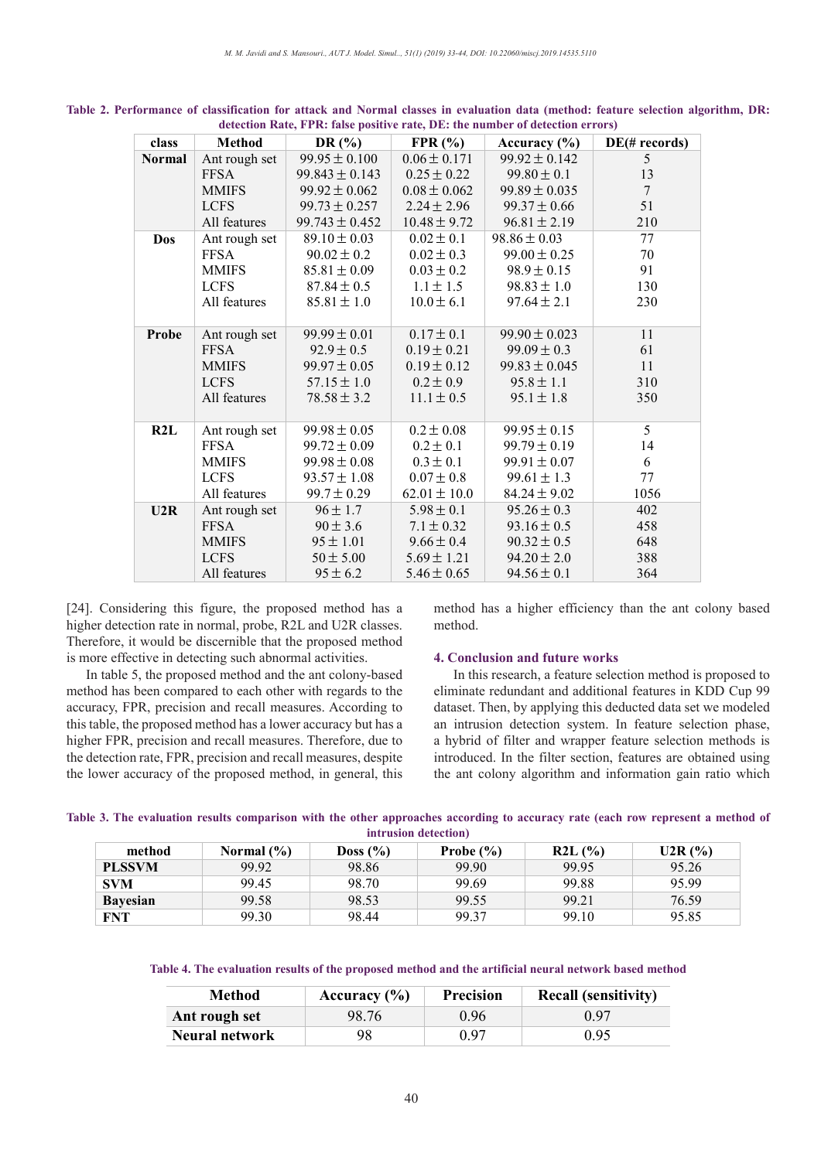| class         | Method        | DR $(\% )$         | FPR(%)           | Accuracy $(\% )$  | $DE(\# records)$ |
|---------------|---------------|--------------------|------------------|-------------------|------------------|
| <b>Normal</b> | Ant rough set | $99.95 \pm 0.100$  | $0.06 \pm 0.171$ | $99.92 \pm 0.142$ | 5 <sup>5</sup>   |
|               | <b>FFSA</b>   | $99.843 \pm 0.143$ | $0.25 \pm 0.22$  | $99.80 \pm 0.1$   | 13               |
|               | <b>MMIFS</b>  | $99.92 \pm 0.062$  | $0.08 \pm 0.062$ | $99.89 \pm 0.035$ | $\overline{7}$   |
|               | <b>LCFS</b>   | $99.73 \pm 0.257$  | $2.24 \pm 2.96$  | $99.37 \pm 0.66$  | 51               |
|               | All features  | $99.743 \pm 0.452$ | $10.48 \pm 9.72$ | $96.81 \pm 2.19$  | 210              |
| Dos           | Ant rough set | $89.10 \pm 0.03$   | $0.02 \pm 0.1$   | $98.86 \pm 0.03$  | 77               |
|               | <b>FFSA</b>   | $90.02 \pm 0.2$    | $0.02 \pm 0.3$   | $99.00 \pm 0.25$  | 70               |
|               | <b>MMIFS</b>  | $85.81 \pm 0.09$   | $0.03 \pm 0.2$   | $98.9 \pm 0.15$   | 91               |
|               | <b>LCFS</b>   | $87.84 \pm 0.5$    | $1.1 \pm 1.5$    | $98.83 \pm 1.0$   | 130              |
|               | All features  | $85.81 \pm 1.0$    | $10.0 \pm 6.1$   | $97.64 \pm 2.1$   | 230              |
|               |               |                    |                  |                   |                  |
| <b>Probe</b>  | Ant rough set | $99.99 \pm 0.01$   | $0.17 \pm 0.1$   | $99.90 \pm 0.023$ | 11               |
|               | FFSA          | $92.9 \pm 0.5$     | $0.19 \pm 0.21$  | $99.09 \pm 0.3$   | 61               |
|               | <b>MMIFS</b>  | $99.97 \pm 0.05$   | $0.19 \pm 0.12$  | $99.83 \pm 0.045$ | 11               |
|               | <b>LCFS</b>   | $57.15 \pm 1.0$    | $0.2 \pm 0.9$    | $95.8 \pm 1.1$    | 310              |
|               | All features  | $78.58 \pm 3.2$    | $11.1 \pm 0.5$   | $95.1 \pm 1.8$    | 350              |
|               |               |                    |                  |                   |                  |
| R2L           | Ant rough set | $99.98 \pm 0.05$   | $0.2 \pm 0.08$   | $99.95 \pm 0.15$  | 5                |
|               | <b>FFSA</b>   | $99.72 \pm 0.09$   | $0.2 \pm 0.1$    | $99.79 \pm 0.19$  | 14               |
|               | <b>MMIFS</b>  | $99.98 \pm 0.08$   | $0.3 \pm 0.1$    | $99.91 \pm 0.07$  | 6                |
|               | <b>LCFS</b>   | $93.57 \pm 1.08$   | $0.07 \pm 0.8$   | $99.61 \pm 1.3$   | 77               |
|               | All features  | $99.7 \pm 0.29$    | $62.01 \pm 10.0$ | $84.24 \pm 9.02$  | 1056             |
| U2R           | Ant rough set | $96 \pm 1.7$       | $5.98 \pm 0.1$   | $95.26 \pm 0.3$   | 402              |
|               | <b>FFSA</b>   | $90 \pm 3.6$       | $7.1 \pm 0.32$   | $93.16 \pm 0.5$   | 458              |
|               | <b>MMIFS</b>  | $95 \pm 1.01$      | $9.66 \pm 0.4$   | $90.32 \pm 0.5$   | 648              |
|               | <b>LCFS</b>   | $50 \pm 5.00$      | $5.69 \pm 1.21$  | $94.20 \pm 2.0$   | 388              |
|               | All features  | $95 \pm 6.2$       | $5.46 \pm 0.65$  | $94.56 \pm 0.1$   | 364              |

Table 2. Performance of classification for attack and Normal classes in evaluation data (method: feature selection algorithm, DR: **detection Rate, FPR: false positive rate, DE: the number of detection errors)**

[24]. Considering this figure, the proposed method has a higher detection rate in normal, probe, R2L and U2R classes.  $\overline{p}$  n Therefore, it would be discernible that the proposed method. is more effective in detecting such abnormal activities. figure, the proposed method has a  $\Box$  m

In table 5, the proposed method and the ant colony-based In table 5, the proposed method and the ant colony-based<br>method has been compared to each other with regards to the accuracy, FPR, precision and recall measures. According to dataset. Then, by applying this deducted data set this table, the proposed method has a lower accuracy but has a an intrusion detection system. In feature sele higher FPR, precision and recall measures. Therefore, due to a hybrid of filter and wrapper feature selection the detection rate, FPR, precision and recall measures, despite introduced. In the filter section, features are ob the lower accuracy of the proposed method, in general, this  $\frac{1}{2}$  and  $\frac{1}{4}$   $\frac{1}{4}$   $\frac{1}{4}$ th regards es. Accord curacy b

method has a higher efficiency than the ant colony based method. 0.3 0.1 has a hig  $\mathbf{d}$ . 99.91 0.07 iciency than method has a higher efficiency than the ant color  $\sum_{n=1}^{\infty}$ a mgner en  $\frac{1}{1}$ 

# posed method<br>tivities. **4. Conclusion and future works**

referred to each other with regards to the eliminate redundant and additional features in KDD Cup 99 s been compared to each other with regards to the In this research, a feature selection method is proposed to dataset. Then, by applying this deducted data set we modeled an intrusion detection system. In feature selection phase, an initiation detection system. In reature selection phase, a hybrid of filter and wrapper feature selection methods is introduced. In the filter section, features are obtained using the state 3. The evaluation results comparison and information gain ratio which very represent to accuracy represent to which  $\frac{4. \text{C0}}{5.5}$  $\frac{9.66666}{2.66666}$ earen, a rea<br>vndent end  $\frac{1}{2}$  undant and ''''''''<br>`ooti  $\frac{64}{3}$  $\alpha$ 

|                      |  |  |  | Table 3. The evaluation results comparison with the other approaches according to accuracy rate (each row represent a method of |  |  |  |  |  |  |  |  |  |  |  |  |  |
|----------------------|--|--|--|---------------------------------------------------------------------------------------------------------------------------------|--|--|--|--|--|--|--|--|--|--|--|--|--|
| intrusion detection) |  |  |  |                                                                                                                                 |  |  |  |  |  |  |  |  |  |  |  |  |  |

| method          | Normal $(\% )$ | Doss $(\% )$ | Probe $(\% )$ | R2L(%) | U2R(%) |
|-----------------|----------------|--------------|---------------|--------|--------|
| <b>PLSSVM</b>   | 99.92          | 98.86        | 99.90         | 99.95  | 95.26  |
| <b>SVM</b>      | 99.45          | 98.70        | 99.69         | 99.88  | 95.99  |
| <b>Bayesian</b> | 99.58          | 98.53        | 99.55         | 99.21  | 76.59  |
| <b>FNT</b>      | 99.30          | 98.44        | 99.37         | 99.10  | 95.85  |

### Table 4. The evaluation results of the proposed method and the artificial neural network based method. **Table 4. The evaluation results of the proposed method and the artificial neural network based method**

| <b>Method</b>         | Accuracy $(\% )$ | <b>Precision</b> | <b>Recall (sensitivity)</b> |
|-----------------------|------------------|------------------|-----------------------------|
| Ant rough set         | 98.76            | 0.96             | 0.97                        |
| <b>Neural network</b> | 98               | 0.97             | 0.95                        |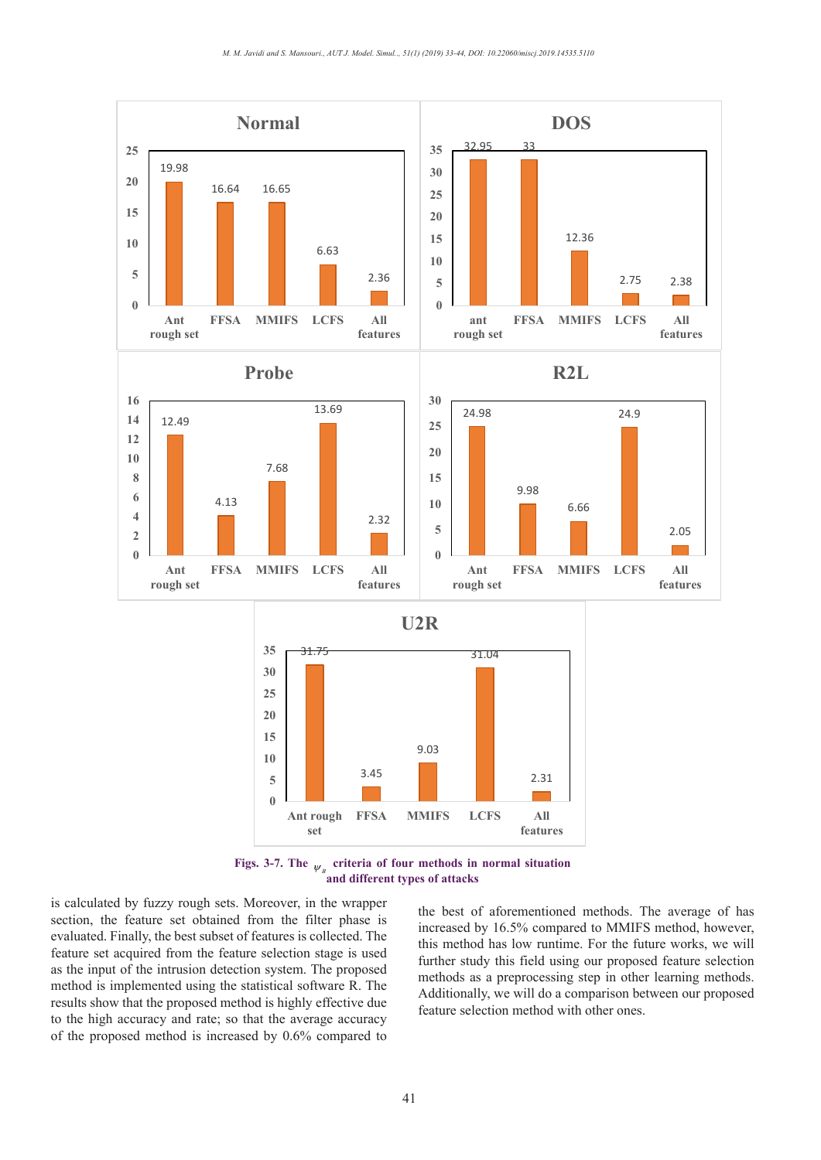

 $\frac{p}{\alpha}$  and different types of attacks. **Figs. 3-7.** The  $\psi_{B}$  criteria of four methods in normal situation

is calculated by fuzzy rough sets. Moreover, in the wrapper section, the feature set obtained from the filter phase is evaluated. Finally, the best subset of features is collected. The feature set acquired from the feature selection stage is used as the input of the intrusion detection system. The proposed method is implemented using the statistical software R. The results show that the proposed method is highly effective due to the high accuracy and rate; so that the average accuracy of the proposed method is increased by 0.6% compared to

feature selection method with other ones. the best of aforementioned methods. The average of has increased by 16.5% compared to MMIFS method, however, this method has low runtime. For the future works, we will further study this field using our proposed feature selection methods as a preprocessing step in other learning methods. Additionally, we will do a comparison between our proposed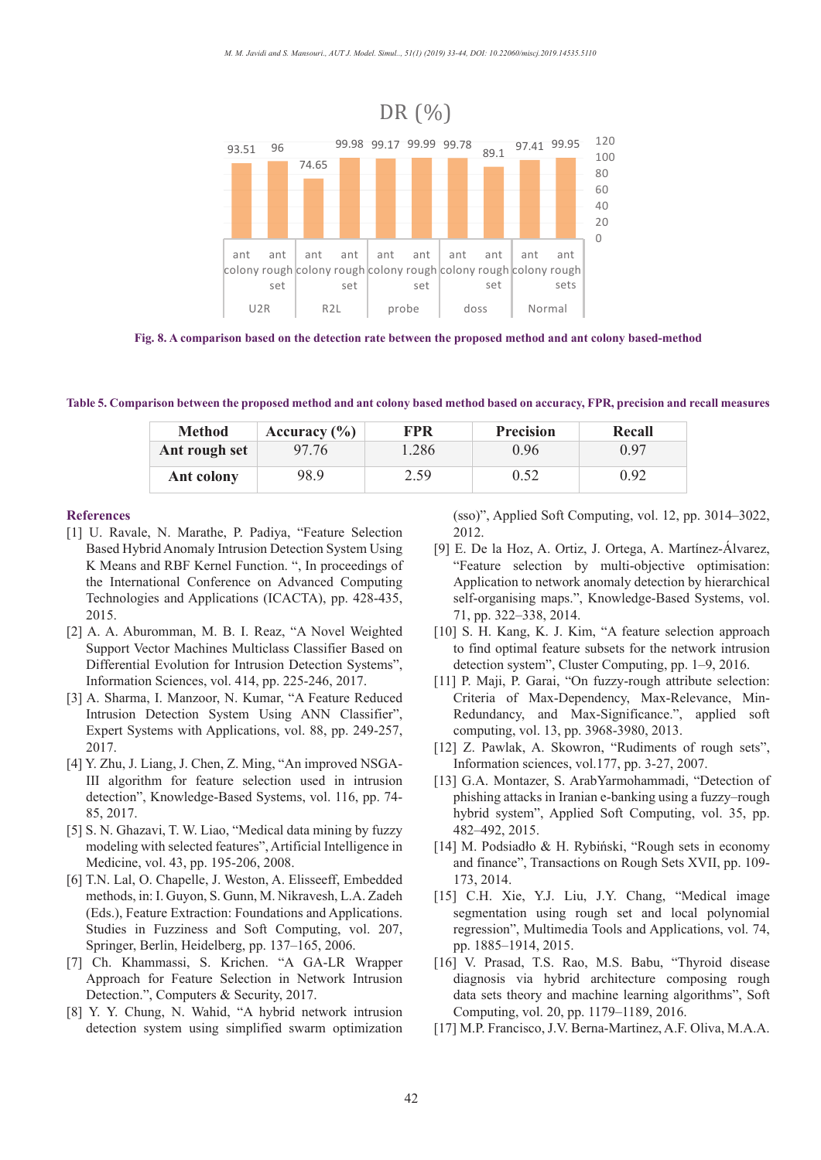

**Fig. 8. A comparison based on the detection rate between the proposed method and ant colony based-method**

Table 5. Comparison between the proposed method and ant colony based method based on accuracy, FPR, precision and recall measures

| <b>Method</b> | Accuracy $(\% )$ | FPR   | <b>Precision</b> | Recall |  |  |  |
|---------------|------------------|-------|------------------|--------|--|--|--|
| Ant rough set | 97.76            | 1.286 | 0.96             | 0.97   |  |  |  |
| Ant colony    | 98.9             | 2.59  | 0.52             | 0.92   |  |  |  |

#### **References**

- [1] U. Ravale, N. Marathe, P. Padiya, "Feature Selection Based Hybrid Anomaly Intrusion Detection System Using K Means and RBF Kernel Function. ", In proceedings of the International Conference on Advanced Computing Technologies and Applications (ICACTA), pp. 428-435, 2015.
- [2] A. A. Aburomman, M. B. I. Reaz, "A Novel Weighted Support Vector Machines Multiclass Classifier Based on Differential Evolution for Intrusion Detection Systems", Information Sciences, vol. 414, pp. 225-246, 2017.
- [3] A. Sharma, I. Manzoor, N. Kumar, "A Feature Reduced Intrusion Detection System Using ANN Classifier", Expert Systems with Applications, vol. 88, pp. 249-257, 2017.
- [4] Y. Zhu, J. Liang, J. Chen, Z. Ming, "An improved NSGA-III algorithm for feature selection used in intrusion detection", Knowledge-Based Systems, vol. 116, pp. 74- 85, 2017.
- [5] S. N. Ghazavi, T. W. Liao, "Medical data mining by fuzzy modeling with selected features", Artificial Intelligence in Medicine, vol. 43, pp. 195-206, 2008.
- [6] T.N. Lal, O. Chapelle, J. Weston, A. Elisseeff, Embedded methods, in: I. Guyon, S. Gunn, M. Nikravesh, L.A. Zadeh (Eds.), Feature Extraction: Foundations and Applications. Studies in Fuzziness and Soft Computing, vol. 207, Springer, Berlin, Heidelberg, pp. 137–165, 2006.
- [7] Ch. Khammassi, S. Krichen. "A GA-LR Wrapper Approach for Feature Selection in Network Intrusion Detection.", Computers & Security, 2017.
- [8] Y. Y. Chung, N. Wahid, "A hybrid network intrusion detection system using simplified swarm optimization

(sso)", Applied Soft Computing, vol. 12, pp. 3014–3022, 2012.

- [9] E. De la Hoz, A. Ortiz, J. Ortega, A. Martínez-Álvarez, "Feature selection by multi-objective optimisation: Application to network anomaly detection by hierarchical self-organising maps.", Knowledge-Based Systems, vol. 71, pp. 322–338, 2014.
- [10] S. H. Kang, K. J. Kim, "A feature selection approach to find optimal feature subsets for the network intrusion detection system", Cluster Computing, pp. 1–9, 2016.
- [11] P. Maji, P. Garai, "On fuzzy-rough attribute selection: Criteria of Max-Dependency, Max-Relevance, Min-Redundancy, and Max-Significance.", applied soft computing, vol. 13, pp. 3968-3980, 2013.
- [12] Z. Pawlak, A. Skowron, "Rudiments of rough sets", Information sciences, vol.177, pp. 3-27, 2007.
- [13] G.A. Montazer, S. ArabYarmohammadi, "Detection of phishing attacks in Iranian e-banking using a fuzzy–rough hybrid system", Applied Soft Computing, vol. 35, pp. 482–492, 2015.
- [14] M. Podsiadło & H. Rybiński, "Rough sets in economy and finance", Transactions on Rough Sets XVII, pp. 109- 173, 2014.
- [15] C.H. Xie, Y.J. Liu, J.Y. Chang, "Medical image segmentation using rough set and local polynomial regression", Multimedia Tools and Applications, vol. 74, pp. 1885–1914, 2015.
- [16] V. Prasad, T.S. Rao, M.S. Babu, "Thyroid disease diagnosis via hybrid architecture composing rough data sets theory and machine learning algorithms", Soft Computing, vol. 20, pp. 1179–1189, 2016.
- [17] M.P. Francisco, J.V. Berna-Martinez, A.F. Oliva, M.A.A.